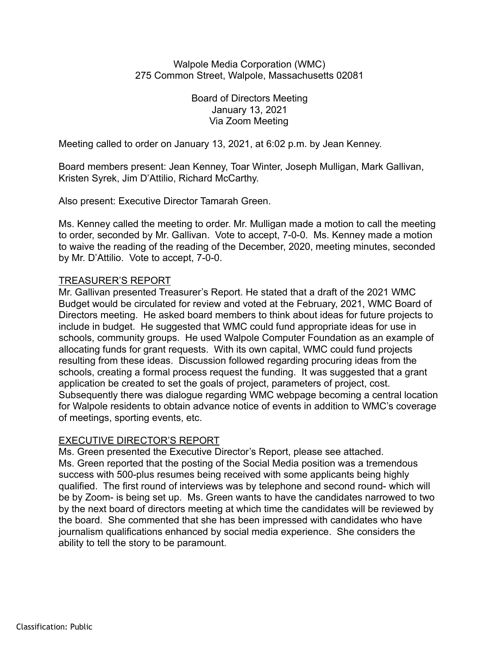## Walpole Media Corporation (WMC) 275 Common Street, Walpole, Massachusetts 02081

Board of Directors Meeting January 13, 2021 Via Zoom Meeting

Meeting called to order on January 13, 2021, at 6:02 p.m. by Jean Kenney.

Board members present: Jean Kenney, Toar Winter, Joseph Mulligan, Mark Gallivan, Kristen Syrek, Jim D'Attilio, Richard McCarthy.

Also present: Executive Director Tamarah Green.

Ms. Kenney called the meeting to order. Mr. Mulligan made a motion to call the meeting to order, seconded by Mr. Gallivan. Vote to accept, 7-0-0. Ms. Kenney made a motion to waive the reading of the reading of the December, 2020, meeting minutes, seconded by Mr. D'Attilio. Vote to accept, 7-0-0.

## TREASURER'S REPORT

Mr. Gallivan presented Treasurer's Report. He stated that a draft of the 2021 WMC Budget would be circulated for review and voted at the February, 2021, WMC Board of Directors meeting. He asked board members to think about ideas for future projects to include in budget. He suggested that WMC could fund appropriate ideas for use in schools, community groups. He used Walpole Computer Foundation as an example of allocating funds for grant requests. With its own capital, WMC could fund projects resulting from these ideas. Discussion followed regarding procuring ideas from the schools, creating a formal process request the funding. It was suggested that a grant application be created to set the goals of project, parameters of project, cost. Subsequently there was dialogue regarding WMC webpage becoming a central location for Walpole residents to obtain advance notice of events in addition to WMC's coverage of meetings, sporting events, etc.

## EXECUTIVE DIRECTOR'S REPORT

Ms. Green presented the Executive Director's Report, please see attached. Ms. Green reported that the posting of the Social Media position was a tremendous success with 500-plus resumes being received with some applicants being highly qualified. The first round of interviews was by telephone and second round- which will be by Zoom- is being set up. Ms. Green wants to have the candidates narrowed to two by the next board of directors meeting at which time the candidates will be reviewed by the board. She commented that she has been impressed with candidates who have journalism qualifications enhanced by social media experience. She considers the ability to tell the story to be paramount.